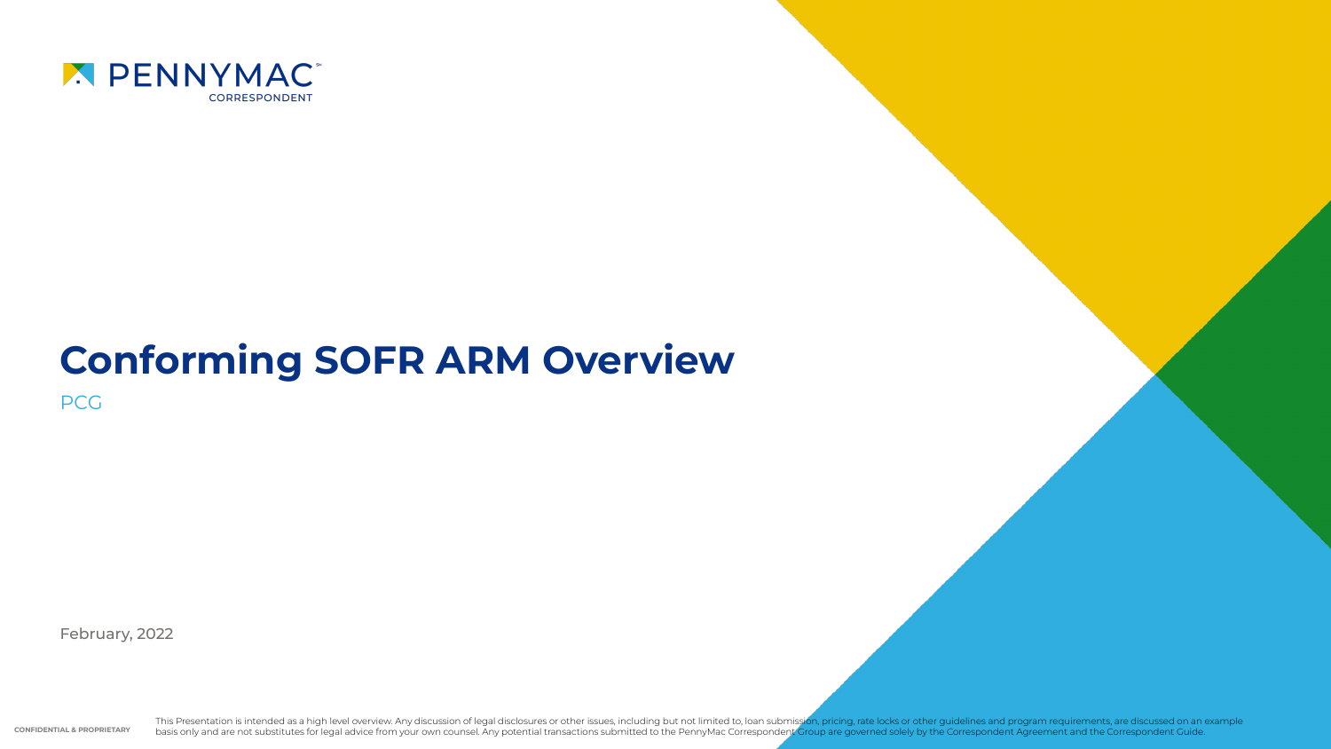

# **Conforming SOFR ARM Overview**

PCG

February, 2022

**CONFIDENTIAL & PROPRIETARY** This Presentation is intended as a high level overview. Any discussion of legal disclosures or other issues, including but not limited to, loan submission, pricing, rate locks or other guidelines and program requirements,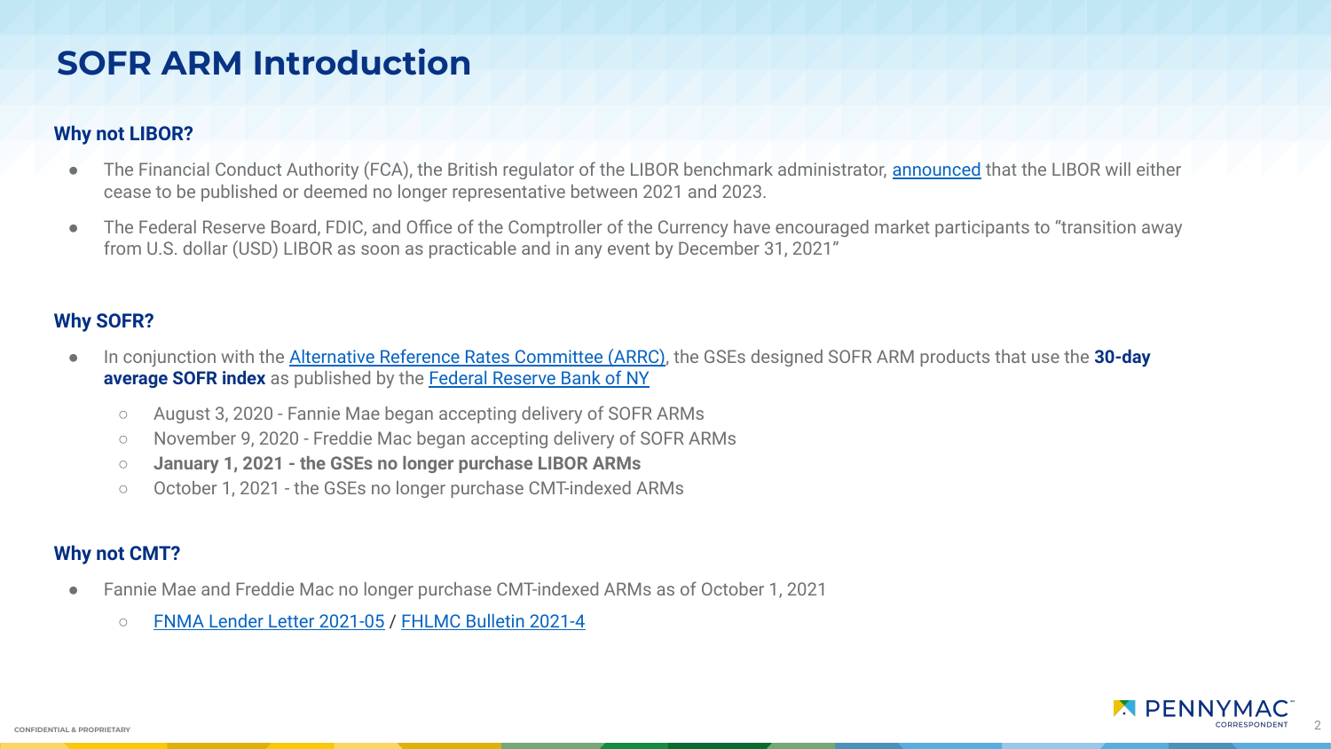## **SOFR ARM Introduction**

#### **Why not LIBOR?**

- The Financial Conduct Authority (FCA), the British regulator of the LIBOR benchmark administrator, **announced** that the LIBOR will either cease to be published or deemed no longer representative between 2021 and 2023.
- The Federal Reserve Board, FDIC, and Office of the Comptroller of the Currency have encouraged market participants to "transition away from U.S. dollar (USD) LIBOR as soon as practicable and in any event by December 31, 2021"

### **Why SOFR?**

- In conjunction with the [Alternative Reference Rates Committee \(ARRC\)](https://www.newyorkfed.org/arrc/about), the GSEs designed SOFR ARM products that use the **30-day average SOFR index** as published by the [Federal Reserve Bank of NY](https://www.newyorkfed.org/markets/reference-rates/sofr-averages-and-index)
	- August 3, 2020 Fannie Mae began accepting delivery of SOFR ARMs
	- November 9, 2020 Freddie Mac began accepting delivery of SOFR ARMs
	- **January 1, 2021 the GSEs no longer purchase LIBOR ARMs**
	- October 1, 2021 the GSEs no longer purchase CMT-indexed ARMs

#### **Why not CMT?**

- Fannie Mae and Freddie Mac no longer purchase CMT-indexed ARMs as of October 1, 2021
	- [FNMA Lender Letter 2021-05](https://singlefamily.fanniemae.com/media/25066/display) / [FHLMC Bulletin 2021-4](https://guide.freddiemac.com/app/guide/bulletin/2021-4)

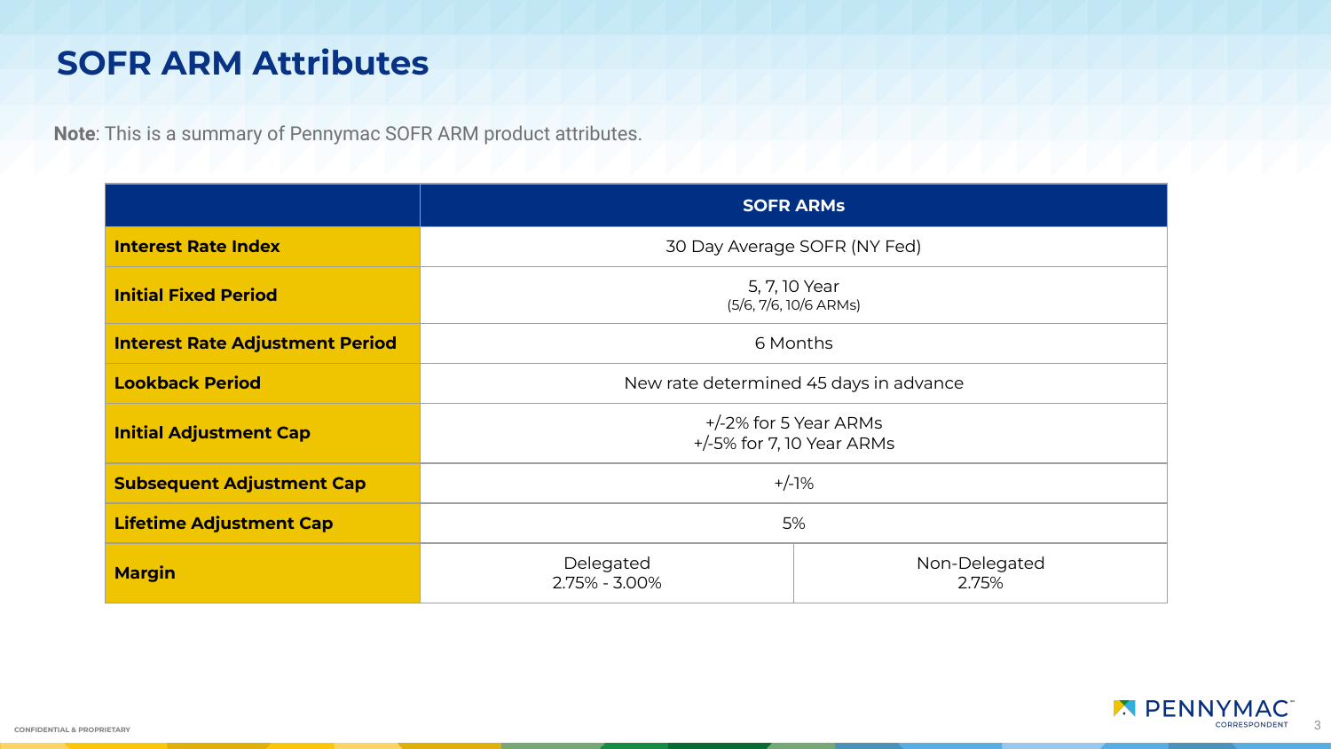## **SOFR ARM Attributes**

**Note**: This is a summary of Pennymac SOFR ARM product attributes.

|                                        | <b>SOFR ARMS</b>                                   |                        |
|----------------------------------------|----------------------------------------------------|------------------------|
| <b>Interest Rate Index</b>             | 30 Day Average SOFR (NY Fed)                       |                        |
| <b>Initial Fixed Period</b>            | 5, 7, 10 Year<br>(5/6, 7/6, 10/6 ARMs)             |                        |
| <b>Interest Rate Adjustment Period</b> | 6 Months                                           |                        |
| <b>Lookback Period</b>                 | New rate determined 45 days in advance             |                        |
| <b>Initial Adjustment Cap</b>          | +/-2% for 5 Year ARMs<br>+/-5% for 7, 10 Year ARMs |                        |
| <b>Subsequent Adjustment Cap</b>       | $+/-1%$                                            |                        |
| <b>Lifetime Adjustment Cap</b>         | 5%                                                 |                        |
| <b>Margin</b>                          | Delegated<br>2.75% - 3.00%                         | Non-Delegated<br>2.75% |

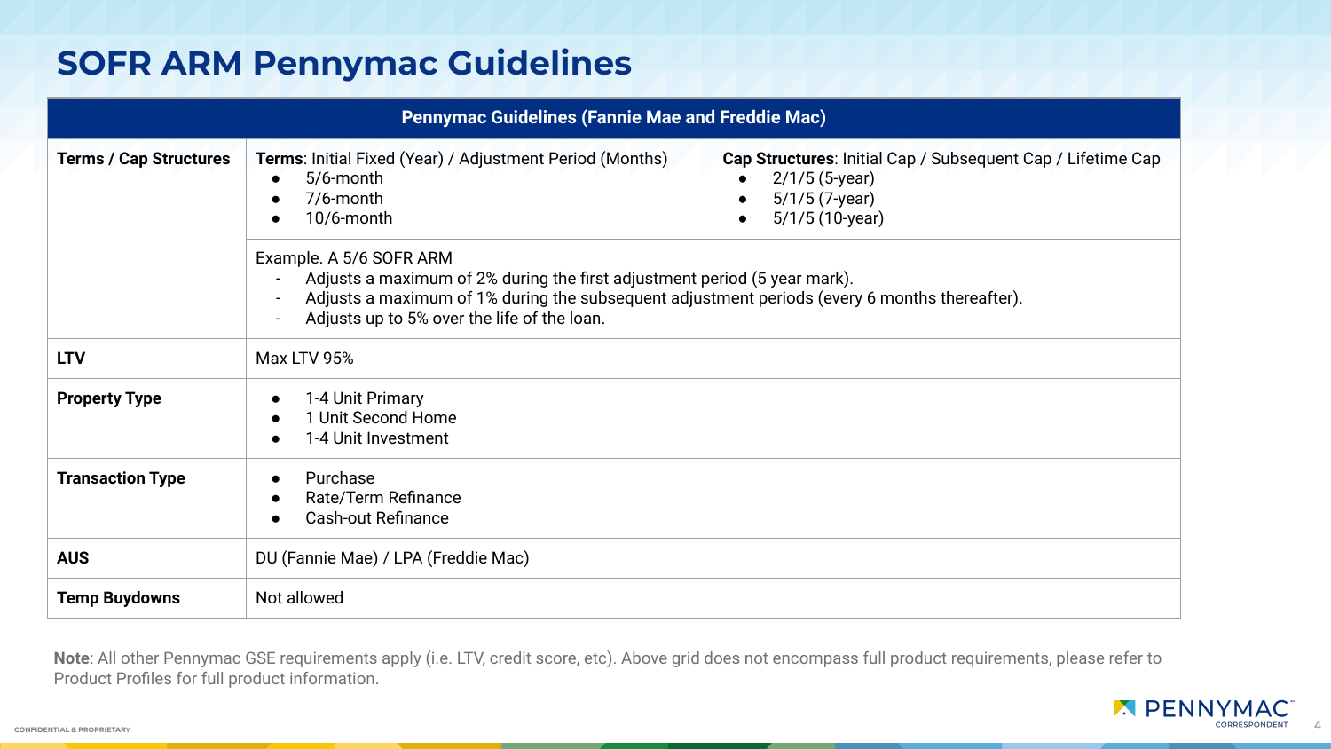# **SOFR ARM Pennymac Guidelines**

| <b>Pennymac Guidelines (Fannie Mae and Freddie Mac)</b> |                                                                                                                                                                                                                                                                                                                        |  |  |  |
|---------------------------------------------------------|------------------------------------------------------------------------------------------------------------------------------------------------------------------------------------------------------------------------------------------------------------------------------------------------------------------------|--|--|--|
| <b>Terms / Cap Structures</b>                           | Terms: Initial Fixed (Year) / Adjustment Period (Months)<br>Cap Structures: Initial Cap / Subsequent Cap / Lifetime Cap<br>5/6-month<br>$2/1/5$ (5-year)<br>$\bullet$<br>$\bullet$<br>$5/1/5$ (7-year)<br>7/6-month<br>$\bullet$<br>$\bullet$<br>5/1/5 (10-year)<br>10/6-month<br>$\bullet$<br>Example. A 5/6 SOFR ARM |  |  |  |
|                                                         | Adjusts a maximum of 2% during the first adjustment period (5 year mark).<br>$\blacksquare$<br>Adjusts a maximum of 1% during the subsequent adjustment periods (every 6 months thereafter).<br>Adjusts up to 5% over the life of the loan.                                                                            |  |  |  |
| <b>LTV</b>                                              | Max LTV 95%                                                                                                                                                                                                                                                                                                            |  |  |  |
| <b>Property Type</b>                                    | 1-4 Unit Primary<br>1 Unit Second Home<br>1-4 Unit Investment                                                                                                                                                                                                                                                          |  |  |  |
| <b>Transaction Type</b>                                 | Purchase<br>Rate/Term Refinance<br><b>Cash-out Refinance</b><br>$\bullet$                                                                                                                                                                                                                                              |  |  |  |
| <b>AUS</b>                                              | DU (Fannie Mae) / LPA (Freddie Mac)                                                                                                                                                                                                                                                                                    |  |  |  |
| <b>Temp Buydowns</b>                                    | Not allowed                                                                                                                                                                                                                                                                                                            |  |  |  |

**Note**: All other Pennymac GSE requirements apply (i.e. LTV, credit score, etc). Above grid does not encompass full product requirements, please refer to Product Profiles for full product information.

4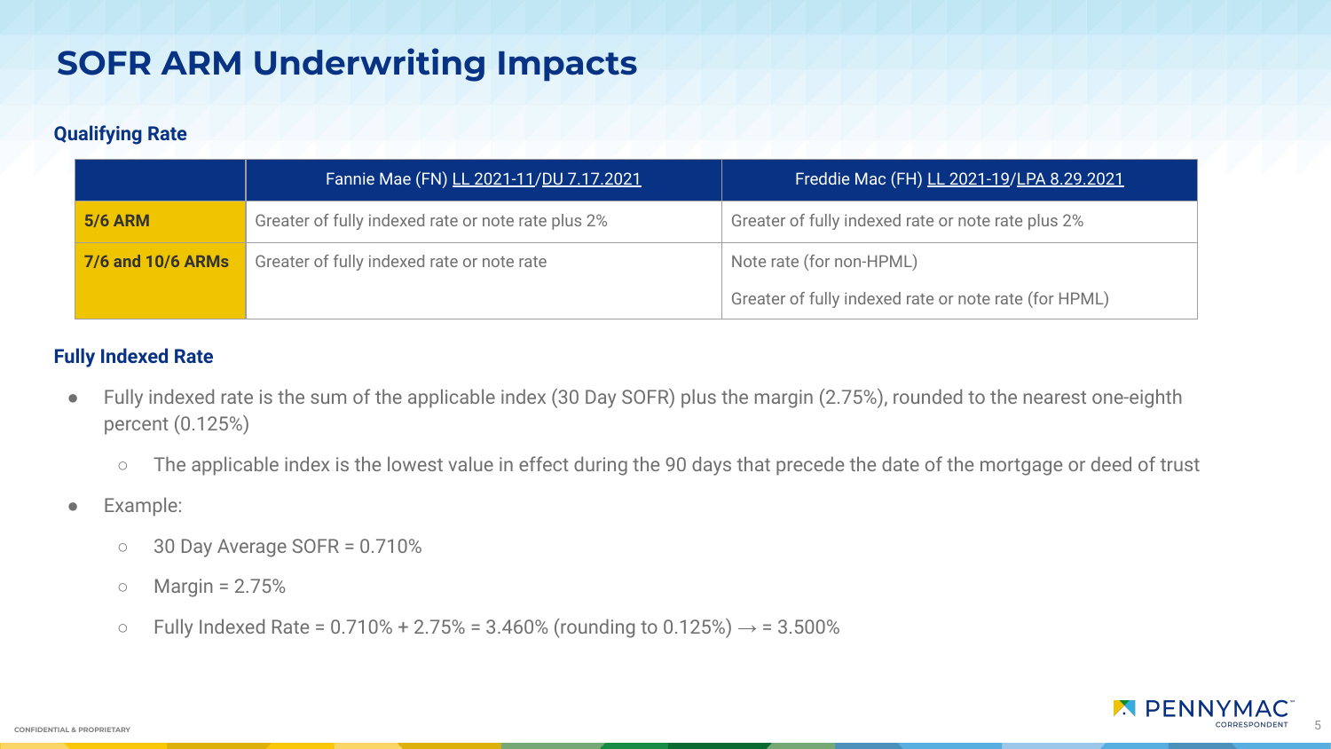# **SOFR ARM Underwriting Impacts**

#### **Qualifying Rate**

|                                                                 | Fannie Mae (FN) LL 2021-11/DU 7.17.2021            | Freddie Mac (FH) LL 2021-19/LPA 8.29.2021             |
|-----------------------------------------------------------------|----------------------------------------------------|-------------------------------------------------------|
| <b>5/6 ARM</b>                                                  | Greater of fully indexed rate or note rate plus 2% | Greater of fully indexed rate or note rate plus 2%    |
| Greater of fully indexed rate or note rate<br>7/6 and 10/6 ARMs |                                                    | Note rate (for non-HPML)                              |
|                                                                 |                                                    | Greater of fully indexed rate or note rate (for HPML) |

#### **Fully Indexed Rate**

- Fully indexed rate is the sum of the applicable index (30 Day SOFR) plus the margin (2.75%), rounded to the nearest one-eighth percent (0.125%)
	- The applicable index is the lowest value in effect during the 90 days that precede the date of the mortgage or deed of trust
- Example:
	- 30 Day Average SOFR = 0.710%
	- $\circ$  Margin = 2.75%
	- Fully Indexed Rate =  $0.710% + 2.75% = 3.460%$  (rounding to  $0.125%) \rightarrow 3.500%$

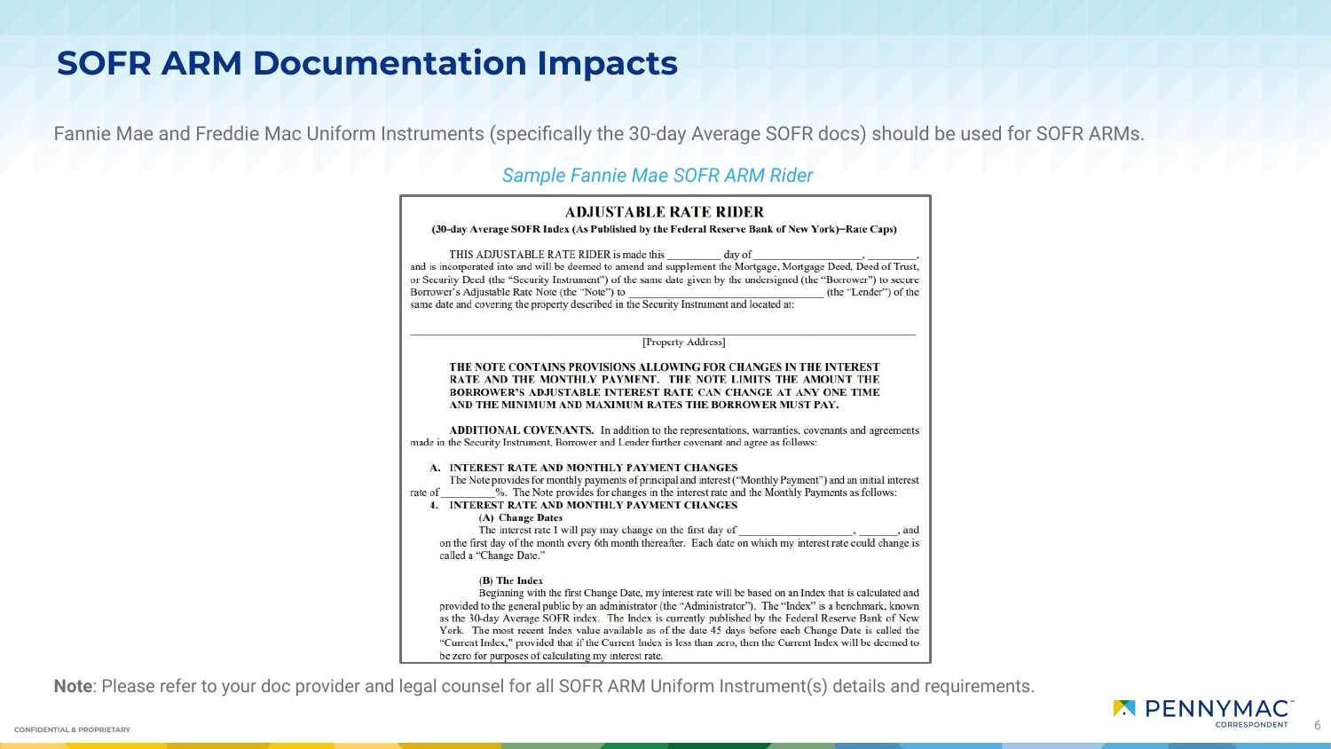### **SOFR ARM Documentation Impacts**

Fannie Mae and Freddie Mac Uniform Instruments (specifically the 30-day Average SOFR docs) should be used for SOFR ARMs.

#### *Sample Fannie Mae SOFR ARM Rider*

|         | <b>ADJUSTABLE RATE RIDER</b>                                                                                                                                                                                                                                                                                                                                                                                                                                                                                                                                                                                                             |
|---------|------------------------------------------------------------------------------------------------------------------------------------------------------------------------------------------------------------------------------------------------------------------------------------------------------------------------------------------------------------------------------------------------------------------------------------------------------------------------------------------------------------------------------------------------------------------------------------------------------------------------------------------|
|         | (30-day Average SOFR Index (As Published by the Federal Reserve Bank of New York)–Rate Caps)                                                                                                                                                                                                                                                                                                                                                                                                                                                                                                                                             |
|         | THIS ADJUSTABLE RATE RIDER is made this<br>day of                                                                                                                                                                                                                                                                                                                                                                                                                                                                                                                                                                                        |
|         | and is incorporated into and will be deemed to amend and supplement the Mortgage, Mortgage Deed, Deed of Trust,<br>or Security Deed (the "Security Instrument") of the same date given by the undersigned (the "Borrower") to secure<br>Borrower's Adjustable Rate Note (the "Note") to<br>(the "Lender") of the<br>same date and covering the property described in the Security Instrument and located at:                                                                                                                                                                                                                             |
|         |                                                                                                                                                                                                                                                                                                                                                                                                                                                                                                                                                                                                                                          |
|         | [Property Address]                                                                                                                                                                                                                                                                                                                                                                                                                                                                                                                                                                                                                       |
|         | THE NOTE CONTAINS PROVISIONS ALLOWING FOR CHANGES IN THE INTEREST<br>RATE AND THE MONTHLY PAYMENT. THE NOTE LIMITS THE AMOUNT THE<br>BORROWER'S ADJUSTABLE INTEREST RATE CAN CHANGE AT ANY ONE TIME<br>AND THE MINIMUM AND MAXIMUM RATES THE BORROWER MUST PAY.                                                                                                                                                                                                                                                                                                                                                                          |
|         | ADDITIONAL COVENANTS. In addition to the representations, warranties, covenants and agreements<br>made in the Security Instrument, Borrower and Lender further covenant and agree as follows:                                                                                                                                                                                                                                                                                                                                                                                                                                            |
| rate of | A. INTEREST RATE AND MONTHLY PAYMENT CHANGES<br>The Note provides for monthly payments of principal and interest ("Monthly Payment") and an initial interest<br>%. The Note provides for changes in the interest rate and the Monthly Payments as follows:<br><b>4. INTEREST RATE AND MONTHLY PAYMENT CHANGES</b>                                                                                                                                                                                                                                                                                                                        |
|         | (A) Change Dates<br>The interest rate I will pay may change on the first day of ______________________, _______, and<br>on the first day of the month every 6th month thereafter. Each date on which my interest rate could change is<br>called a "Change Date."                                                                                                                                                                                                                                                                                                                                                                         |
|         | (B) The Index<br>Beginning with the first Change Date, my interest rate will be based on an Index that is calculated and<br>provided to the general public by an administrator (the "Administrator"). The "Index" is a benchmark, known<br>as the 30-day Average SOFR index. The Index is currently published by the Federal Reserve Bank of New<br>York. The most recent Index value available as of the date 45 days before each Change Date is called the<br>"Current Index," provided that if the Current Index is less than zero, then the Current Index will be deemed to<br>be zero for purposes of calculating my interest rate. |

**Note**: Please refer to your doc provider and legal counsel for all SOFR ARM Uniform Instrument(s) details and requirements.

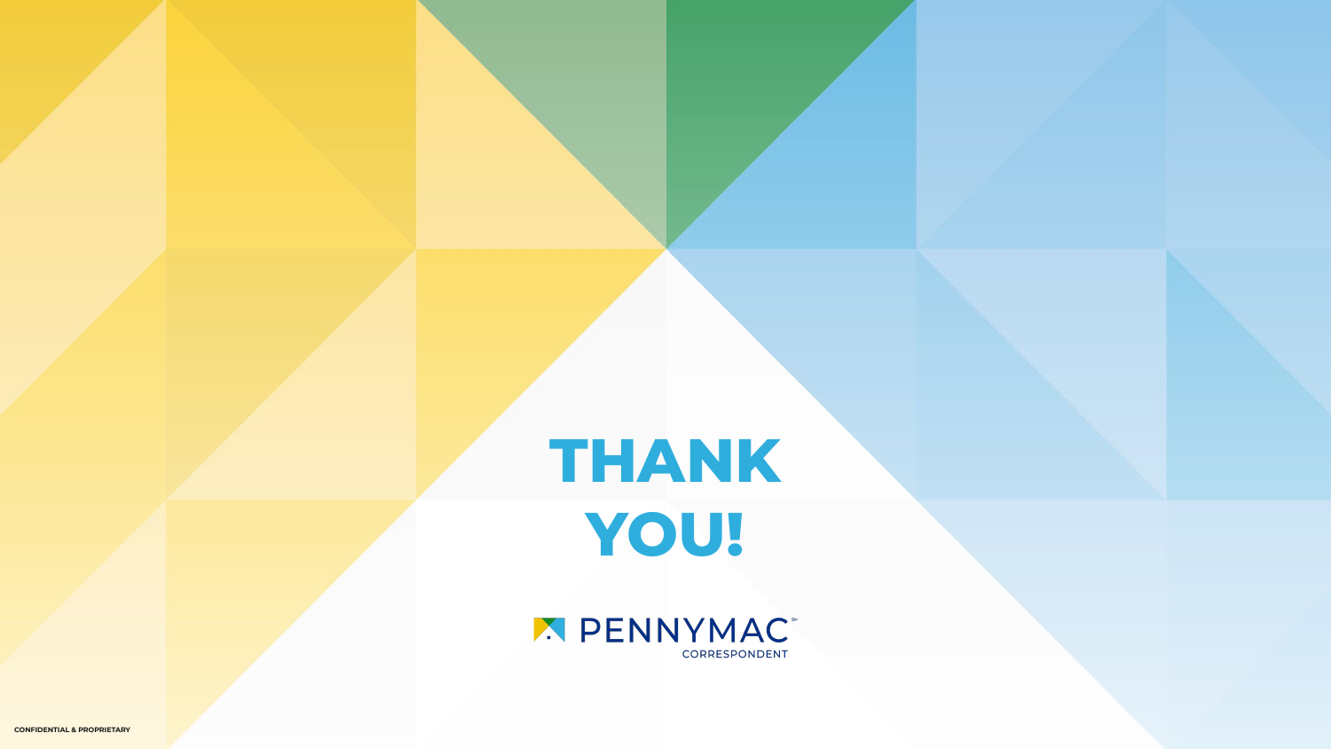**THANK YOU!**